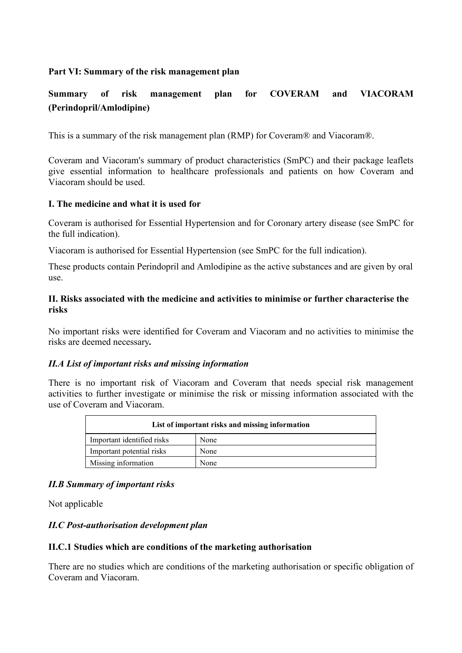## **Part VI: Summary of the risk management plan**

# **Summary of risk management plan for COVERAM and VIACORAM (Perindopril/Amlodipine)**

This is a summary of the risk management plan (RMP) for Coveram® and Viacoram®.

Coveram and Viacoram's summary of product characteristics (SmPC) and their package leaflets give essential information to healthcare professionals and patients on how Coveram and Viacoram should be used.

#### **I. The medicine and what it is used for**

Coveram is authorised for Essential Hypertension and for Coronary artery disease (see SmPC for the full indication).

Viacoram is authorised for Essential Hypertension (see SmPC for the full indication).

These products contain Perindopril and Amlodipine as the active substances and are given by oral use.

#### **II. Risks associated with the medicine and activities to minimise or further characterise the risks**

No important risks were identified for Coveram and Viacoram and no activities to minimise the risks are deemed necessary*.* 

## *II.A List of important risks and missing information*

There is no important risk of Viacoram and Coveram that needs special risk management activities to further investigate or minimise the risk or missing information associated with the use of Coveram and Viacoram.

| List of important risks and missing information |      |
|-------------------------------------------------|------|
| Important identified risks                      | None |
| Important potential risks                       | None |
| Missing information                             | None |

## *II.B Summary of important risks*

Not applicable

## *II.C Post-authorisation development plan*

#### **II.C.1 Studies which are conditions of the marketing authorisation**

There are no studies which are conditions of the marketing authorisation or specific obligation of Coveram and Viacoram.